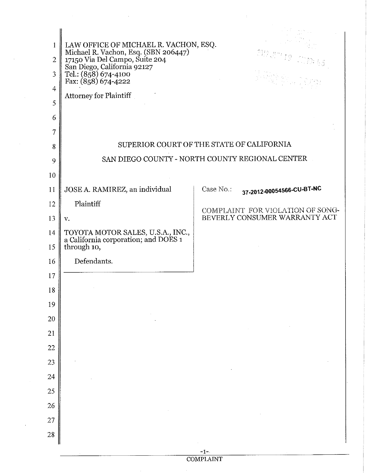| $\bf{1}$<br>$\overline{2}$ | LAW OFFICE OF MICHAEL R. VACHON, ESQ.<br>Michael R. Vachon, Esq. (SBN 206447)<br>17150 Via Del Campo, Suite 204<br>San Diego, California 92127<br>Tel.: (858) 674-4100<br>Fax: (858) 674-4222 |           | $\mathcal{W}(\mathcal{A}^m)\subseteq\mathcal{W}\otimes\mathcal{A}\mathfrak{S}$ |  |  |
|----------------------------|-----------------------------------------------------------------------------------------------------------------------------------------------------------------------------------------------|-----------|--------------------------------------------------------------------------------|--|--|
| 3                          |                                                                                                                                                                                               |           | Angrich Constantinopel                                                         |  |  |
| $\overline{4}$             | Attorney for Plaintiff                                                                                                                                                                        |           |                                                                                |  |  |
| 5                          |                                                                                                                                                                                               |           |                                                                                |  |  |
| 6<br>7                     |                                                                                                                                                                                               |           |                                                                                |  |  |
| 8                          | SUPERIOR COURT OF THE STATE OF CALIFORNIA                                                                                                                                                     |           |                                                                                |  |  |
| 9                          | SAN DIEGO COUNTY - NORTH COUNTY REGIONAL CENTER                                                                                                                                               |           |                                                                                |  |  |
| 10                         |                                                                                                                                                                                               |           |                                                                                |  |  |
| 11                         | JOSE A. RAMIREZ, an individual                                                                                                                                                                | Case No.: | 37-2012-00054566-CU-BT-NC                                                      |  |  |
| 12                         | Plaintiff                                                                                                                                                                                     |           | COMPLAINT FOR VIOLATION OF SONG-                                               |  |  |
| 13                         | V.                                                                                                                                                                                            |           | BEVERLY CONSUMER WARRANTY ACT                                                  |  |  |
| 14<br>15                   | TOYOTA MOTOR SALES, U.S.A., INC., a California corporation; and DOES 1<br>through 10,                                                                                                         |           |                                                                                |  |  |
| 16                         | Defendants.                                                                                                                                                                                   |           |                                                                                |  |  |
| 17                         |                                                                                                                                                                                               |           |                                                                                |  |  |
| 18                         |                                                                                                                                                                                               |           |                                                                                |  |  |
| 19                         |                                                                                                                                                                                               |           |                                                                                |  |  |
| 20                         |                                                                                                                                                                                               |           |                                                                                |  |  |
| 21                         |                                                                                                                                                                                               |           |                                                                                |  |  |
| 22                         |                                                                                                                                                                                               |           |                                                                                |  |  |
| 23                         |                                                                                                                                                                                               |           |                                                                                |  |  |
| 24<br>25                   |                                                                                                                                                                                               |           |                                                                                |  |  |
| 26                         |                                                                                                                                                                                               |           |                                                                                |  |  |
| 27                         |                                                                                                                                                                                               |           |                                                                                |  |  |
| 28                         |                                                                                                                                                                                               |           |                                                                                |  |  |
|                            |                                                                                                                                                                                               | $-1-$     |                                                                                |  |  |

COMPLAINT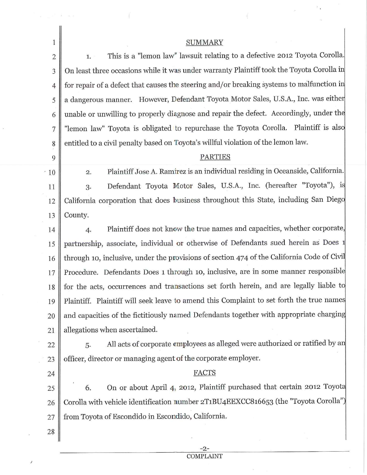| $\mathbf{1}$   | <b>SUMMARY</b>                                                                             |  |  |
|----------------|--------------------------------------------------------------------------------------------|--|--|
| $\sqrt{2}$     | This is a "lemon law" lawsuit relating to a defective 2012 Toyota Corolla.<br>1.           |  |  |
| 3              | On least three occasions while it was under warranty Plaintiff took the Toyota Corolla in  |  |  |
| $\overline{4}$ | for repair of a defect that causes the steering and/or breaking systems to malfunction in  |  |  |
| 5              | a dangerous manner. However, Defendant Toyota Motor Sales, U.S.A., Inc. was either         |  |  |
| 6              | unable or unwilling to properly diagnose and repair the defect. Accordingly, under the     |  |  |
| 7              | "lemon law" Toyota is obligated to repurchase the Toyota Corolla. Plaintiff is also        |  |  |
| 8              | entitled to a civil penalty based on Toyota's willful violation of the lemon law.          |  |  |
| 9              | <b>PARTIES</b>                                                                             |  |  |
| $-10$          | Plaintiff Jose A. Ramirez is an individual residing in Oceanside, California.<br>2.        |  |  |
| 11             | Defendant Toyota Motor Sales, U.S.A., Inc. (hereafter "Toyota"), is<br>3.                  |  |  |
| 12             | California corporation that does business throughout this State, including San Diego       |  |  |
| 13             | County.                                                                                    |  |  |
| 14             | Plaintiff does not know the true names and capacities, whether corporate,<br>4.            |  |  |
| 15             | partnership, associate, individual or otherwise of Defendants sued herein as Does 1        |  |  |
| 16             | through 10, inclusive, under the provisions of section 474 of the California Code of Civil |  |  |
| 17             | Procedure. Defendants Does 1 through 10, inclusive, are in some manner responsible         |  |  |
| 18             | for the acts, occurrences and transactions set forth herein, and are legally liable to     |  |  |
| 19             | Plaintiff. Plaintiff will seek leave to amend this Complaint to set forth the true names   |  |  |
| 20             | and capacities of the fictitiously named Defendants together with appropriate charging     |  |  |
| 21             | allegations when ascertained.                                                              |  |  |
| 22             | All acts of corporate employees as alleged were authorized or ratified by an<br>5.         |  |  |
| 23             | officer, director or managing agent of the corporate employer.                             |  |  |
| 24             | FACTS                                                                                      |  |  |
| 25             | On or about April 4, 2012, Plaintiff purchased that certain 2012 Toyota<br>6.              |  |  |
| 26             | Corolla with vehicle identification number 2T1BU4EEXCC816653 (the "Toyota Corolla")        |  |  |
| 27             | from Toyota of Escondido in Escondido, California.                                         |  |  |
| 28             |                                                                                            |  |  |
|                |                                                                                            |  |  |

ï

-2- COMPLAINT

 $\alpha$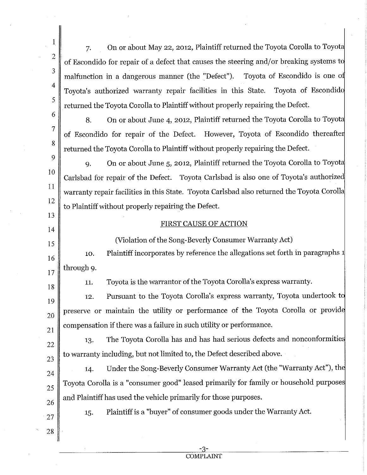7, On or about May 22, 2012, Plaintiff returned the Toyota Corolla to Toyot of Escondido for repair of a defect that causes the steering and/or breaking systems to malfunction in a dangerous manner (the "Defect"). Toyota of Escondido is one o Toyota's authorized warranty repair facilities in this State. Toyota of Escondid returned the Toyota Corolla to Plaintiff without properly repairing the Defect.

8. On or about June 4, 2012, Plaintiff returned the Toyota Corolla to Toyot of Escondido for repair of the Defect. However, Toyota of Escondido thereafte returned the Toyota Corolla to Plaintiff without properly repairing the Defect.

9 10 11 12 9. On or about June 5, 2012, Plaintiff returned the Toyota Corolla to Toyota Carlsbad for repair of the Defect. Toyota Carlsbad is also one of Toyota's authorize warranty repair facilities in this State. Toyota Carlsbad also returned the Toyota Coroll to Plaintiff without properly repairing the Defect.

## FIRST CAUSE OF ACTION

(Violation of the Song-Beverly Consumer Warranty Act)

16 17 10. through 9. Plaintiff incorporates by reference the allegations set forth in paragraphs

18

21

23

27

28

13

14

15

1

2

3

4

5

6

7

8

11. Toyota is the warrantor of the Toyota Corolla's express warranty.

19 20 12. Pursuant to the Toyota Corolla's express warranty, Toyota undertook t preserve or maintain the utility or performance of the Toyota Corolla or provid compensation if there was a failure in such utility or performance.

22 13. The Toyota Corolla has and has had serious defects and nonconformitie to warranty including, but not limited to, the Defect described above.

24 25 26 14. Under the Song-Beverly Consumer Warranty Act (the "Warranty Act"), the Toyota Corolla is a "consumer good" leased primarily for family or household purpose and Plaintiff has used the vehicle primarily for those purposes.

> Plaintiff is a "buyer" of consumer goods under the Warranty Act. 15.

> > **COMPLAINT**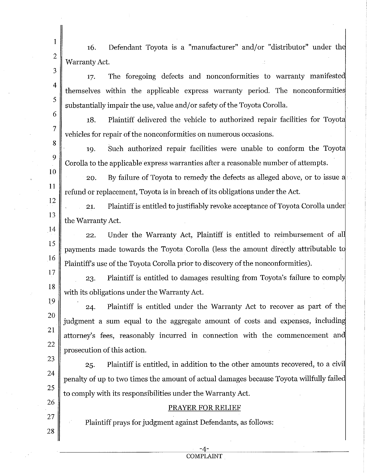16. Defendant Toyota is a "manufacturer" and/or "distributor" under the Warranty Act.

1

2

3

4

5

6

7

8

9

10

]I

12

13

. 14

15

16

19

20

21

22

23

24

25

26

27

28

17. The foregoing defects and nonconformities to warranty manifeste themselves within the applicable express warranty period. The nonconformitie substantially impair the use, value and/or safety of the Toyota Corolla.

18. Plaintiff delivered the vehicle to authorized repair facilities for Toyot vehicles for repair of the nonconformities on numerous occasions.

19. Such authorized repair facilities were unable to conform the Toyot Corolla to the applicable express warranties after a reasonable number of attempts.

20. By failure of Toyota to remedy the defects as alleged above, or to issue a refund or replacement, Toyota is in breach of its obligations under the Act.

21. Plaintiff is entitled to justifiably revoke acceptance of Toyota Corolla unde the Warranty Act.

22. Under the Warranty Act, Plaintiff is entitled to reimbursement of al payments made towards the Toyota Corolla (less the amount directly attributable to Plaintiff's use of the Toyota Corolla prior to discovery of the nonconformities).

17 18 23. Plaintiff is entitled to damages resulting from Toyota's failure to compl with its obligations under the Warranty Act.

24. Plaintiff is entitled under the Warranty Act to recover as part of th judgment a sum equal to the aggregate amount of costs and expenses, including attorney's fees, reasonably incurred in connection with the commencement an prosecution of this action.

25. Plaintiff is entitled, in addition to the other amounts recovered, to a civi penalty of up to two times the amount of actual damages because Toyota willfully faile to comply with its responsibilities under the Warranty Act.

## PRAYER FOR RELIEF

Plaintiff prays for judgment against Defendants, as follows:

COMPLAINT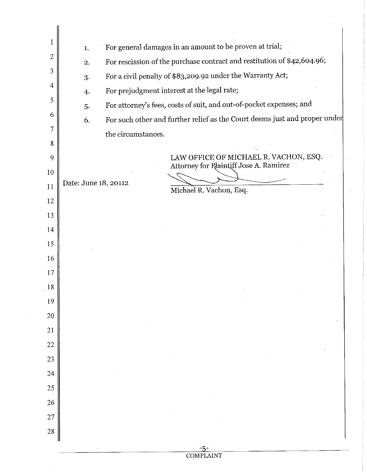| 1              | For general damages in an amount to be proven at trial;<br>1.                 |                                                                                 |  |  |
|----------------|-------------------------------------------------------------------------------|---------------------------------------------------------------------------------|--|--|
| $\overline{2}$ | For rescission of the purchase contract and restitution of \$42,604.96;<br>2. |                                                                                 |  |  |
| 3              | For a civil penalty of \$83,209.92 under the Warranty Act;<br>3.              |                                                                                 |  |  |
| $\overline{4}$ | For prejudgment interest at the legal rate;<br>4.                             |                                                                                 |  |  |
| 5              | 5.                                                                            | For attorney's fees, costs of suit, and out-of-pocket expenses; and             |  |  |
| 6              | 6.                                                                            | For such other and further relief as the Court deems just and proper under      |  |  |
| 7              | the circumstances.                                                            |                                                                                 |  |  |
| 8              |                                                                               |                                                                                 |  |  |
| 9              |                                                                               | LAW OFFICE OF MICHAEL R. VACHON, ESQ.<br>Attorney for Plaintiff Jose A. Ramirez |  |  |
| 10             | Date: June 18, 20112                                                          |                                                                                 |  |  |
| 11             |                                                                               | Michael R. Vachon, Esq.                                                         |  |  |
| 12             |                                                                               |                                                                                 |  |  |
| 13<br>14       |                                                                               |                                                                                 |  |  |
| 15             |                                                                               |                                                                                 |  |  |
| 16             |                                                                               |                                                                                 |  |  |
| 17             |                                                                               |                                                                                 |  |  |
| 18             |                                                                               |                                                                                 |  |  |
| 19             |                                                                               |                                                                                 |  |  |
| 20             |                                                                               |                                                                                 |  |  |
| 21             |                                                                               |                                                                                 |  |  |
| 22             |                                                                               |                                                                                 |  |  |
| 23             |                                                                               |                                                                                 |  |  |
| 24             |                                                                               |                                                                                 |  |  |
| 25             |                                                                               |                                                                                 |  |  |
| 26             |                                                                               |                                                                                 |  |  |
| 27             |                                                                               |                                                                                 |  |  |
| 28             |                                                                               |                                                                                 |  |  |
|                |                                                                               |                                                                                 |  |  |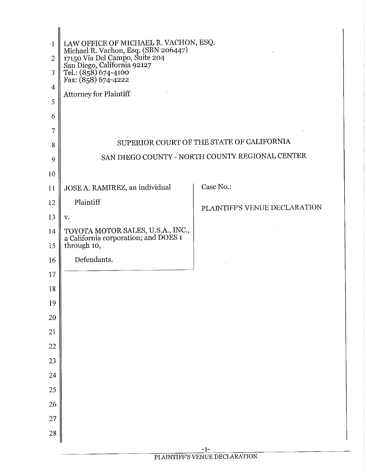| $\overline{2}$<br>3 | LAW OFFICE OF MICHAEL R. VACHON, ESQ.<br>Michael R. Vachon, Esq. (SBN 206447)<br>17150 Via Del Campo, Suite 204<br>San Diego, California 92127<br>Tel.: (858) 674-4100 |                               |  |  |
|---------------------|------------------------------------------------------------------------------------------------------------------------------------------------------------------------|-------------------------------|--|--|
| $\overline{4}$      | Fax: (858) 674-4222                                                                                                                                                    |                               |  |  |
| 5                   | Attorney for Plaintiff                                                                                                                                                 |                               |  |  |
| 6                   |                                                                                                                                                                        |                               |  |  |
| 7                   |                                                                                                                                                                        |                               |  |  |
| 8                   | SUPERIOR COURT OF THE STATE OF CALIFORNIA                                                                                                                              |                               |  |  |
| 9                   | SAN DIEGO COUNTY - NORTH COUNTY REGIONAL CENTER                                                                                                                        |                               |  |  |
| 10                  |                                                                                                                                                                        |                               |  |  |
| 11                  | JOSE A. RAMIREZ, an individual                                                                                                                                         | Case No.:                     |  |  |
| 12                  | Plaintiff                                                                                                                                                              | PLAINTIFF'S VENUE DECLARATION |  |  |
| 13                  | V.                                                                                                                                                                     |                               |  |  |
| 14                  | TOYOTA MOTOR SALES, U.S.A., INC., a California corporation; and DOES 1                                                                                                 |                               |  |  |
| 15                  | through 10,                                                                                                                                                            |                               |  |  |
| 16                  | Defendants.                                                                                                                                                            |                               |  |  |
| 17                  |                                                                                                                                                                        |                               |  |  |
| 18                  |                                                                                                                                                                        |                               |  |  |
| 19                  |                                                                                                                                                                        |                               |  |  |
| 20                  |                                                                                                                                                                        |                               |  |  |
| 21                  |                                                                                                                                                                        |                               |  |  |
| 22                  |                                                                                                                                                                        |                               |  |  |
| 23                  |                                                                                                                                                                        |                               |  |  |
| 24                  |                                                                                                                                                                        |                               |  |  |
| 25                  |                                                                                                                                                                        |                               |  |  |
| 26                  |                                                                                                                                                                        |                               |  |  |
| 27                  |                                                                                                                                                                        |                               |  |  |
| 28                  |                                                                                                                                                                        |                               |  |  |
|                     |                                                                                                                                                                        |                               |  |  |

-1-